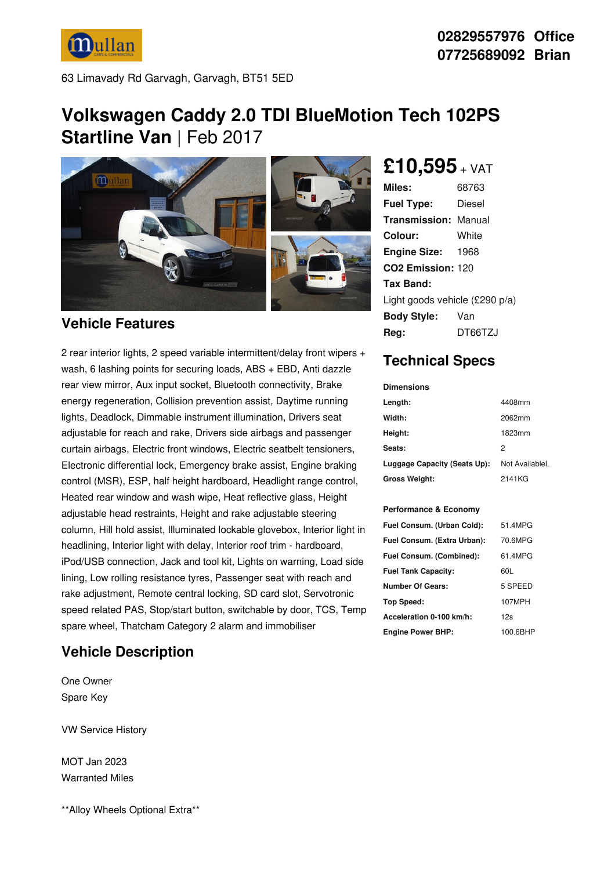

63 Limavady Rd Garvagh, Garvagh, BT51 5ED

# **Volkswagen Caddy 2.0 TDI BlueMotion Tech 102PS**

**Startline Van** | Feb 2017



#### **Vehicle Features**

2 rear interior lights, 2 speed variable intermittent/delay front wipers + wash, 6 lashing points for securing loads, ABS + EBD, Anti dazzle rear view mirror, Aux input socket, Bluetooth connectivity, Brake energy regeneration, Collision prevention assist, Daytime running lights, Deadlock, Dimmable instrument illumination, Drivers seat adjustable for reach and rake, Drivers side airbags and passenger curtain airbags, Electric front windows, Electric seatbelt tensioners, Electronic differential lock, Emergency brake assist, Engine braking control (MSR), ESP, half height hardboard, Headlight range control, Heated rear window and wash wipe, Heat reflective glass, Height adjustable head restraints, Height and rake adjustable steering column, Hill hold assist, Illuminated lockable glovebox, Interior light in headlining, Interior light with delay, Interior roof trim - hardboard, iPod/USB connection, Jack and tool kit, Lights on warning, Load side lining, Low rolling resistance tyres, Passenger seat with reach and rake adjustment, Remote central locking, SD card slot, Servotronic speed related PAS, Stop/start button, switchable by door, TCS, Temp spare wheel, Thatcham Category 2 alarm and immobiliser

# **Vehicle Description**

One Owner Spare Key

VW Service History

MOT Jan 2023 Warranted Miles

\*\*Alloy Wheels Optional Extra\*\*

**£10,595** <sup>+</sup> VAT

| Miles:                         | 68763    |  |
|--------------------------------|----------|--|
| <b>Fuel Type:</b>              | Diesel   |  |
| Transmission:                  | Manual   |  |
| Colour:                        | White    |  |
| <b>Engine Size:</b>            | 1968     |  |
| CO <sub>2</sub> Emission: 120  |          |  |
| Tax Band:                      |          |  |
| Light goods vehicle (£290 p/a) |          |  |
| <b>Body Style:</b>             | Van      |  |
| Rea:                           | DT66T7.I |  |

## **Technical Specs**

**Dimensions**

| Length:                      | 4408mm         |
|------------------------------|----------------|
| Width:                       | 2062mm         |
| Height:                      | 1823mm         |
| Seats:                       | 2              |
| Luggage Capacity (Seats Up): | Not AvailableL |
| <b>Gross Weight:</b>         | 2141KG         |

#### **Performance & Economy**

| Fuel Consum. (Urban Cold):  | 51.4MPG  |
|-----------------------------|----------|
| Fuel Consum. (Extra Urban): | 70.6MPG  |
| Fuel Consum. (Combined):    | 61 4MPG  |
| <b>Fuel Tank Capacity:</b>  | 60L      |
| <b>Number Of Gears:</b>     | 5 SPEED  |
| <b>Top Speed:</b>           | 107MPH   |
| Acceleration 0-100 km/h:    | 12s      |
| <b>Engine Power BHP:</b>    | 100.6BHP |

### **02829557976 Office 07725689092 Brian**